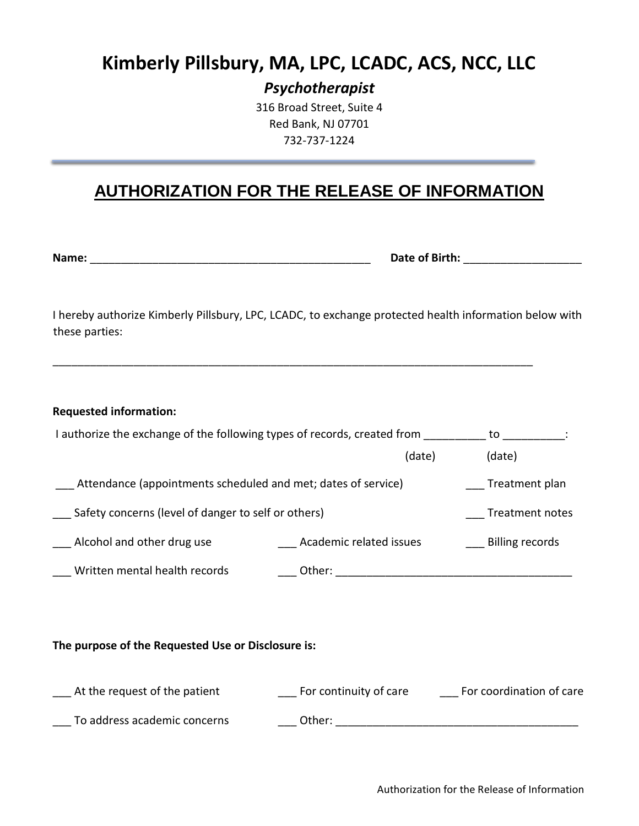## **Kimberly Pillsbury, MA, LPC, LCADC, ACS, NCC, LLC**

*Psychotherapist*

316 Broad Street, Suite 4 Red Bank, NJ 07701 732-737-1224

## **AUTHORIZATION FOR THE RELEASE OF INFORMATION**

**Name:** \_\_\_\_\_\_\_\_\_\_\_\_\_\_\_\_\_\_\_\_\_\_\_\_\_\_\_\_\_\_\_\_\_\_\_\_\_\_\_\_\_\_\_\_\_ **Date of Birth:** \_\_\_\_\_\_\_\_\_\_\_\_\_\_\_\_\_\_\_

I hereby authorize Kimberly Pillsbury, LPC, LCADC, to exchange protected health information below with these parties:

\_\_\_\_\_\_\_\_\_\_\_\_\_\_\_\_\_\_\_\_\_\_\_\_\_\_\_\_\_\_\_\_\_\_\_\_\_\_\_\_\_\_\_\_\_\_\_\_\_\_\_\_\_\_\_\_\_\_\_\_\_\_\_\_\_\_\_\_\_\_\_\_\_\_\_\_\_

| <b>Requested information:</b>                                            |                         |  |                          |  |
|--------------------------------------------------------------------------|-------------------------|--|--------------------------|--|
| I authorize the exchange of the following types of records, created from |                         |  | to to                    |  |
|                                                                          | (date)                  |  | (date)                   |  |
| Attendance (appointments scheduled and met; dates of service)            |                         |  | Treatment plan           |  |
| Safety concerns (level of danger to self or others)                      |                         |  | Treatment notes          |  |
| Alcohol and other drug use                                               | Academic related issues |  | <b>Billing records</b>   |  |
| Written mental health records                                            |                         |  |                          |  |
|                                                                          |                         |  |                          |  |
| The purpose of the Requested Use or Disclosure is:                       |                         |  |                          |  |
| At the request of the patient                                            | For continuity of care  |  | For coordination of care |  |
| To address academic concerns                                             | Other:                  |  |                          |  |